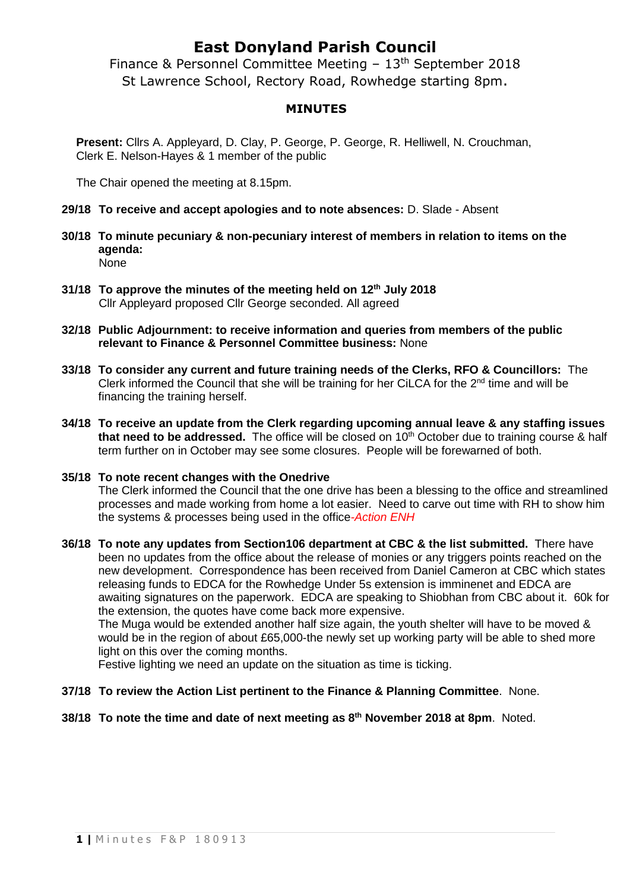## **East Donyland Parish Council**

Finance & Personnel Committee Meeting – 13th September 2018 St Lawrence School, Rectory Road, Rowhedge starting 8pm.

### **MINUTES**

**Present:** Cllrs A. Appleyard, D. Clay, P. George, P. George, R. Helliwell, N. Crouchman, Clerk E. Nelson-Hayes & 1 member of the public

The Chair opened the meeting at 8.15pm.

- **29/18 To receive and accept apologies and to note absences:** D. Slade Absent
- **30/18 To minute pecuniary & non-pecuniary interest of members in relation to items on the agenda:** None
- **31/18 To approve the minutes of the meeting held on 12th July 2018** Cllr Appleyard proposed Cllr George seconded. All agreed
- **32/18 Public Adjournment: to receive information and queries from members of the public relevant to Finance & Personnel Committee business:** None
- **33/18 To consider any current and future training needs of the Clerks, RFO & Councillors:** The Clerk informed the Council that she will be training for her CiLCA for the  $2<sup>nd</sup>$  time and will be financing the training herself.
- **34/18 To receive an update from the Clerk regarding upcoming annual leave & any staffing issues that need to be addressed.** The office will be closed on 10th October due to training course & half term further on in October may see some closures. People will be forewarned of both.
- **35/18 To note recent changes with the Onedrive** The Clerk informed the Council that the one drive has been a blessing to the office and streamlined processes and made working from home a lot easier. Need to carve out time with RH to show him the systems & processes being used in the office*-Action ENH*
- **36/18 To note any updates from Section106 department at CBC & the list submitted.** There have been no updates from the office about the release of monies or any triggers points reached on the new development. Correspondence has been received from Daniel Cameron at CBC which states releasing funds to EDCA for the Rowhedge Under 5s extension is imminenet and EDCA are awaiting signatures on the paperwork. EDCA are speaking to Shiobhan from CBC about it. 60k for the extension, the quotes have come back more expensive.

The Muga would be extended another half size again, the youth shelter will have to be moved & would be in the region of about £65,000-the newly set up working party will be able to shed more light on this over the coming months.

Festive lighting we need an update on the situation as time is ticking.

- **37/18 To review the Action List pertinent to the Finance & Planning Committee**. None.
- **38/18 To note the time and date of next meeting as 8 th November 2018 at 8pm**. Noted.